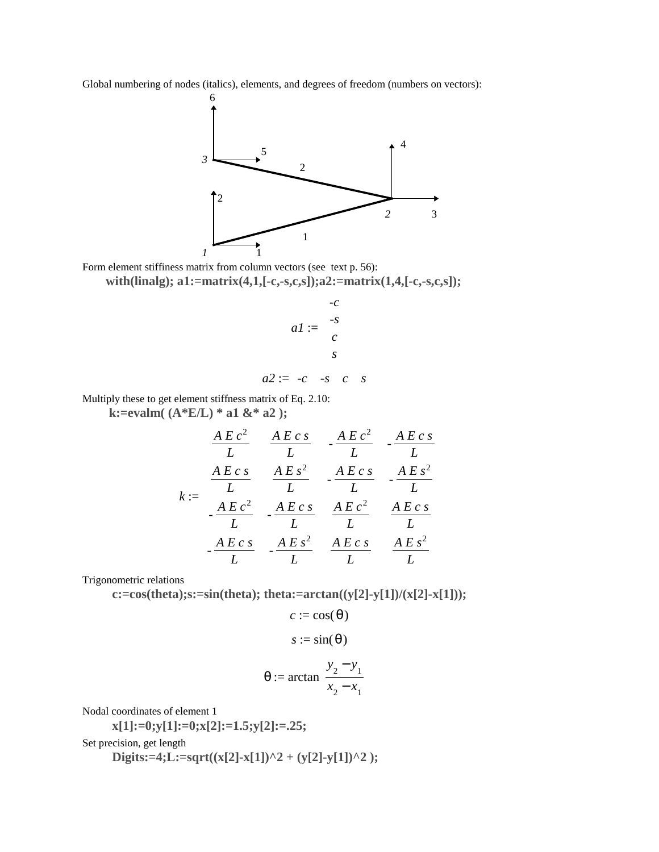Global numbering of nodes (italics), elements, and degrees of freedom (numbers on vectors):



Form element stiffiness matrix from column vectors (see text p. 56):

**with(linalg); a1:=matrix(4,1,[-c,-s,c,s]);a2:=matrix(1,4,[-c,-s,c,s]);**

$$
aI := \begin{bmatrix} -c \\ -s \\ c \\ s \end{bmatrix}
$$

$$
a2 := \begin{bmatrix} -c & -s & c & s \end{bmatrix}
$$

Multiply these to get element stiffness matrix of Eq. 2.10:

 **k:=evalm( (A\*E/L) \* a1 &\* a2 );**

$$
k := \begin{bmatrix} \frac{A E c^2}{L} & \frac{A E c s}{L} & -\frac{A E c^2}{L} & -\frac{A E c s}{L} \\ \frac{A E c s}{L} & \frac{A E s^2}{L} & -\frac{A E c s}{L} & -\frac{A E s^2}{L} \\ -\frac{A E c^2}{L} & -\frac{A E c s}{L} & \frac{A E c^2}{L} & \frac{A E c s}{L} \\ -\frac{A E c s}{L} & -\frac{A E s^2}{L} & \frac{A E c s}{L} & \frac{A E s^2}{L} \end{bmatrix}
$$

Trigonometric relations

 **c:=cos(theta);s:=sin(theta); theta:=arctan((y[2]-y[1])/(x[2]-x[1]));**

$$
s := \sin(\theta)
$$

$$
\theta := \arctan\left(\frac{y_2 - y_1}{x_2 - x_1}\right)
$$

 $c := \cos(\theta)$ 

Nodal coordinates of element 1

 **x[1]:=0;y[1]:=0;x[2]:=1.5;y[2]:=.25;**

Set precision, get length

Digits:=4;L:=sqrt((x[2]-x[1])^2 + (y[2]-y[1])^2 );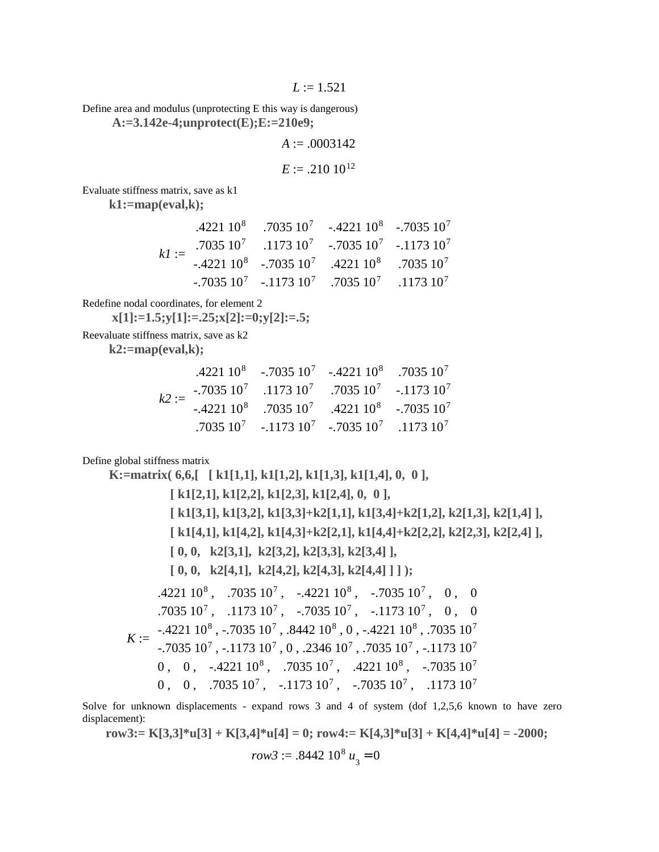$L := 1.521$ 

Define area and modulus (unprotecting E this way is dangerous)  **A:=3.142e-4;unprotect(E);E:=210e9;**

 $A := .0003142$ 

$$
E := .210 \; 10^{12}
$$

Evaluate stiffness matrix, save as k1

 **k1:=map(eval,k);**

$$
kl := \begin{bmatrix} .4221 \ 10^8 & .7035 \ 10^7 & .1173 \ 10^7 & -.7035 \ 10^7 & .1173 \ 10^7 & -.7035 \ 10^7 & .1173 \ 10^8 & -.7035 \ 10^9 & .7035 \ 10^9 & .7035 \ 10^7 & .1173 \ 10^9 & .7035 \ 10^7 & .1173 \ 10^7 & .7035 \ 10^7 & .1173 \ 10^7 & .7035 \ 10^7 & .1173 \ 10^7 \end{bmatrix}
$$

Redefine nodal coordinates, for element 2

 **x[1]:=1.5;y[1]:=.25;x[2]:=0;y[2]:=.5;**

Reevaluate stiffness matrix, save as k2

 **k2:=map(eval,k);**

| $k2 := \begin{bmatrix} .4221 & 10^8 & -.7035 & 10^7 & -.4221 & 10^8 & .7035 & 10^7 \\ -.7035 & 10^7 & .1173 & 10^7 & .7035 & 10^7 & -.1173 & 10^7 \\ -.4221 & 10^8 & .7035 & 10^7 & .4221 & 10^8 & -.7035 & 10^7 \\ .7035 & 10^7 & -.1173 & 10^7 & -.7035 & 10^7 & .1173 & 10^7 \end{bmatrix}$ |  |  |
|------------------------------------------------------------------------------------------------------------------------------------------------------------------------------------------------------------------------------------------------------------------------------------------------|--|--|
|                                                                                                                                                                                                                                                                                                |  |  |
|                                                                                                                                                                                                                                                                                                |  |  |
|                                                                                                                                                                                                                                                                                                |  |  |

Define global stiffness matrix

 **K:=matrix( 6,6,[ [ k1[1,1], k1[1,2], k1[1,3], k1[1,4], 0, 0 ], [ k1[2,1], k1[2,2], k1[2,3], k1[2,4], 0, 0 ], [ k1[3,1], k1[3,2], k1[3,3]+k2[1,1], k1[3,4]+k2[1,2], k2[1,3], k2[1,4] ], [ k1[4,1], k1[4,2], k1[4,3]+k2[2,1], k1[4,4]+k2[2,2], k2[2,3], k2[2,4] ], [ 0, 0, k2[3,1], k2[3,2], k2[3,3], k2[3,4] ], [ 0, 0, k2[4,1], k2[4,2], k2[4,3], k2[4,4] ] ] );** *K* := .4221 10 , , , , , 8 .7035 10<sup>7</sup> -.4221 10<sup>8</sup> -.7035 10<sup>7</sup> 0 0 .7035 10 , , , , , 7 .1173 10<sup>7</sup> -.7035 10<sup>7</sup> -.1173 10<sup>7</sup> 0 0 -.4221 10 , , , , , 8 -.7035 10<sup>7</sup> .8442 10<sup>8</sup> 0 -.4221 10<sup>8</sup> .7035 10<sup>7</sup> -.7035 10 , , , , , 7 -.1173 10<sup>7</sup> 0 .2346 10<sup>7</sup> .7035 10<sup>7</sup> -.1173 10<sup>7</sup> 0 0 -.4221 10 , , , , , 8 .7035 10<sup>7</sup> .4221 10<sup>8</sup> -.7035 10<sup>7</sup> 0 0 .7035 10 , , , , , 7 -.1173 10<sup>7</sup> -.7035 10<sup>7</sup> .1173 10<sup>7</sup>

Solve for unknown displacements - expand rows 3 and 4 of system (dof 1,2,5,6 known to have zero displacement):

**row3:= K[3,3]\*u[3] + K[3,4]\*u[4] = 0; row4:= K[4,3]\*u[3] + K[4,4]\*u[4] = -2000;**  $row3 := .8442 10^8 u_3 = 0$